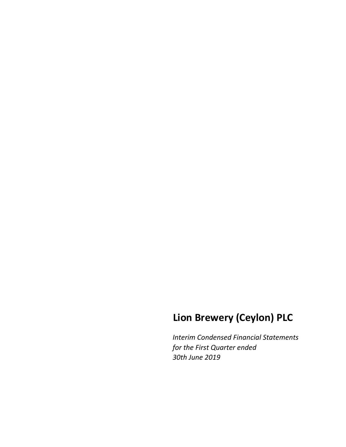# **Lion Brewery (Ceylon) PLC**

*Interim Condensed Financial Statements for the First Quarter ended 30th June 2019*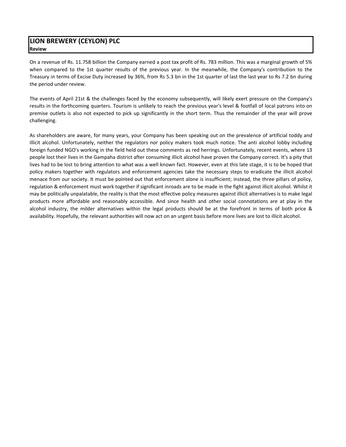## **LION BREWERY (CEYLON) PLC Review**

On a revenue of Rs. 11.758 billion the Company earned a post tax profit of Rs. 783 million. This was a marginal growth of 5% when compared to the 1st quarter results of the previous year. In the meanwhile, the Company's contribution to the Treasury in terms of Excise Duty increased by 36%, from Rs 5.3 bn in the 1st quarter of last the last year to Rs 7.2 bn during the period under review.

The events of April 21st & the challenges faced by the economy subsequently, will likely exert pressure on the Company's results in the forthcoming quarters. Tourism is unlikely to reach the previous year's level & footfall of local patrons into on premise outlets is also not expected to pick up significantly in the short term. Thus the remainder of the year will prove challenging.

As shareholders are aware, for many years, your Company has been speaking out on the prevalence of artificial toddy and illicit alcohol. Unfortunately, neither the regulators nor policy makers took much notice. The anti alcohol lobby including foreign funded NGO's working in the field held out these comments as red herrings. Unfortunately, recent events, where 13 people lost their lives in the Gampaha district after consuming illicit alcohol have proven the Company correct. It's a pity that lives had to be lost to bring attention to what was a well known fact. However, even at this late stage, it is to be hoped that policy makers together with regulators and enforcement agencies take the necessary steps to eradicate the illicit alcohol menace from our society. It must be pointed out that enforcement alone is insufficient; instead, the three pillars of policy, regulation & enforcement must work together if significant inroads are to be made in the fight against illicit alcohol. Whilst it may be politically unpalatable, the reality is that the most effective policy measures against illicit alternatives is to make legal products more affordable and reasonably accessible. And since health and other social connotations are at play in the alcohol industry, the milder alternatives within the legal products should be at the forefront in terms of both price & availability. Hopefully, the relevant authorities will now act on an urgent basis before more lives are lost to illicit alcohol.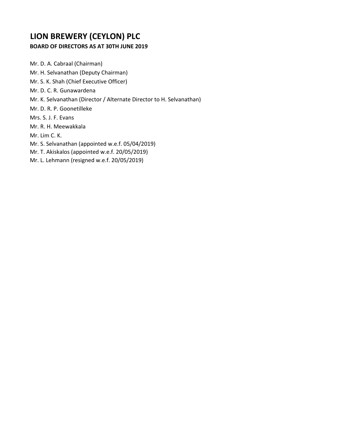# **LION BREWERY (CEYLON) PLC**

# **BOARD OF DIRECTORS AS AT 30TH JUNE 2019**

Mr. D. A. Cabraal (Chairman) Mr. H. Selvanathan (Deputy Chairman) Mr. S. K. Shah (Chief Executive Officer) Mr. D. C. R. Gunawardena Mr. K. Selvanathan (Director / Alternate Director to H. Selvanathan) Mr. D. R. P. Goonetilleke Mrs. S. J. F. Evans Mr. R. H. Meewakkala Mr. Lim C. K. Mr. S. Selvanathan (appointed w.e.f. 05/04/2019) Mr. T. Akiskalos (appointed w.e.f. 20/05/2019) Mr. L. Lehmann (resigned w.e.f. 20/05/2019)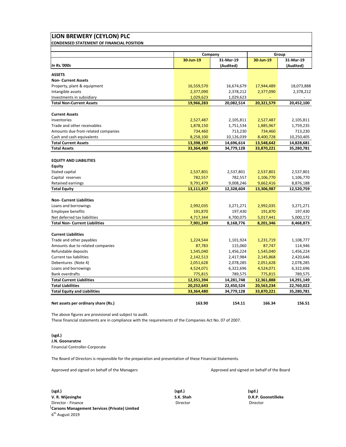| <b>CONDENSED STATEMENT OF FINANCIAL POSITION</b>                      |            |            |            |                        |
|-----------------------------------------------------------------------|------------|------------|------------|------------------------|
|                                                                       |            | Company    |            | Group                  |
|                                                                       | 30-Jun-19  | 31-Mar-19  | 30-Jun-19  | 31-Mar-19              |
| <b>In Rs.'000s</b>                                                    |            | (Audited)  |            | (Audited)              |
| <b>ASSETS</b>                                                         |            |            |            |                        |
| <b>Non- Current Assets</b>                                            |            |            |            |                        |
| Property, plant & equipment                                           | 16,559,570 | 16,674,679 | 17,944,489 | 18,073,888             |
| Intangible assets                                                     | 2,377,090  | 2,378,212  | 2,377,090  | 2,378,212              |
| Investments in subsidiary                                             | 1,029,623  | 1,029,623  |            |                        |
| <b>Total Non-Current Assets</b>                                       | 19,966,283 | 20,082,514 | 20,321,579 | 20,452,100             |
| <b>Current Assets</b>                                                 |            |            |            |                        |
| Inventories                                                           | 2,527,487  | 2,105,811  | 2,527,487  | 2,105,811              |
| Trade and other receivables                                           | 1,878,150  | 1,751,534  | 1,885,967  | 1,759,235              |
| Amounts due from related companies                                    | 734,460    | 713,230    | 734,460    | 713,230                |
| Cash and cash equivalents                                             | 8,258,100  | 10,126,039 | 8,400,728  | 10,250,405             |
| <b>Total Current Assets</b>                                           | 13,398,197 | 14,696,614 | 13,548,642 | 14,828,681             |
| <b>Total Assets</b>                                                   | 33,364,480 | 34,779,128 | 33,870,221 | 35,280,781             |
|                                                                       |            |            |            |                        |
| <b>EQUITY AND LIABILITIES</b>                                         |            |            |            |                        |
| <b>Equity</b>                                                         |            |            |            |                        |
| Stated capital                                                        | 2,537,801  | 2,537,801  | 2,537,801  | 2,537,801              |
| Capital reserves                                                      | 782,557    | 782,557    | 1,106,770  | 1,106,770              |
| Retained earnings                                                     | 9,791,479  | 9,008,246  | 9,662,416  | 8,876,188              |
| <b>Total Equity</b>                                                   | 13,111,837 | 12,328,604 | 13,306,987 | 12,520,759             |
|                                                                       |            |            |            |                        |
| <b>Non- Current Liabilities</b>                                       |            |            |            |                        |
| Loans and borrowings                                                  | 2,992,035  | 3,271,271  | 2,992,035  | 3,271,271              |
| <b>Employee benefits</b>                                              | 191,870    | 197,430    | 191,870    | 197,430                |
| Net deferred tax liabilities<br><b>Total Non- Current Liabilities</b> | 4,717,344  | 4,700,075  | 5,017,441  | 5,000,172<br>8,468,873 |
|                                                                       | 7,901,249  | 8,168,776  | 8,201,346  |                        |
| <b>Current Liabilities</b>                                            |            |            |            |                        |
| Trade and other payables                                              | 1,224,544  | 1,101,924  | 1,231,719  | 1,108,777              |
| Amounts due to related companies                                      | 87,783     | 115,060    | 87,747     | 114,946                |
| Refundable deposits                                                   | 1,545,040  | 1,456,224  | 1,545,040  | 1,456,224              |
| <b>Current tax liabilities</b>                                        | 2,142,513  | 2,417,984  | 2,145,868  | 2,420,646              |
| Debentures (Note 4)                                                   | 2,051,628  | 2,078,285  | 2,051,628  | 2,078,285              |
| Loans and borrowings                                                  | 4,524,071  | 6,322,696  | 4,524,071  | 6,322,696              |
| <b>Bank overdrafts</b>                                                | 775,815    | 789,575    | 775,815    | 789,575                |
| <b>Total Current Liabilities</b>                                      | 12,351,394 | 14,281,748 | 12,361,888 | 14,291,149             |
| <b>Total Liabilities</b>                                              | 20,252,643 | 22,450,524 | 20,563,234 | 22,760,022             |
| <b>Total Equity and Liabilities</b>                                   | 33,364,480 | 34,779,128 | 33,870,221 | 35,280,781             |
|                                                                       |            |            |            |                        |
| Net assets per ordinary share (Rs.)                                   | 163.90     | 154.11     | 166.34     | 156.51                 |

The above figures are provisional and subject to audit.

These financial statements are in compliance with the requirements of the Companies Act No. 07 of 2007.

#### **(sgd.) J.N. Goonaratne**

Financial Controller‐Corporate

The Board of Directors is responsible for the preparation and presentation of these Financial Statements.

Approved and signed on behalf of the Managers Approved and signed on behalf of the Board

**(sgd.) (sgd.) (sgd.) V. R. Wijesinghe S.K. Shah D.R.P. Goonetilleke** Director ‐ Finance Director Director **Carsons Management Services (Private) Limited**  $6<sup>th</sup>$  August 2019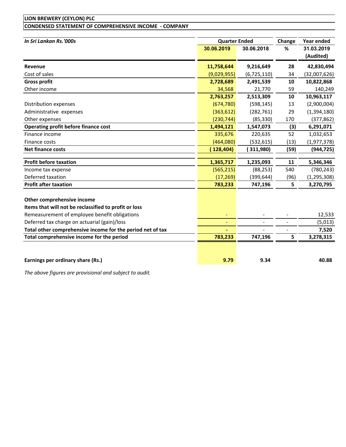# **LION BREWERY (CEYLON) PLC CONDENSED STATEMENT OF COMPREHENSIVE INCOME ‐ COMPANY**

| In Sri Lankan Rs.'000s                                                              | <b>Quarter Ended</b> |             | Change         | Year ended              |
|-------------------------------------------------------------------------------------|----------------------|-------------|----------------|-------------------------|
|                                                                                     | 30.06.2019           | 30.06.2018  | %              | 31.03.2019<br>(Audited) |
| Revenue                                                                             | 11,758,644           | 9,216,649   | 28             | 42,830,494              |
| Cost of sales                                                                       | (9,029,955)          | (6,725,110) | 34             | (32,007,626)            |
| <b>Gross profit</b>                                                                 | 2,728,689            | 2,491,539   | 10             | 10,822,868              |
| Other income                                                                        | 34,568               | 21,770      | 59             | 140,249                 |
|                                                                                     | 2,763,257            | 2,513,309   | 10             | 10,963,117              |
| Distribution expenses                                                               | (674, 780)           | (598, 145)  | 13             | (2,900,004)             |
| Administrative expenses                                                             | (363, 612)           | (282, 761)  | 29             | (1,394,180)             |
| Other expenses                                                                      | (230, 744)           | (85, 330)   | 170            | (377, 862)              |
| Operating profit before finance cost                                                | 1,494,121            | 1,547,073   | (3)            | 6,291,071               |
| Finance income                                                                      | 335,676              | 220,635     | 52             | 1,032,653               |
| Finance costs                                                                       | (464,080)            | (532, 615)  | (13)           | (1,977,378)             |
| <b>Net finance costs</b>                                                            | (128, 404)           | 311,980)    | (59)           | (944, 725)              |
|                                                                                     |                      |             |                |                         |
| <b>Profit before taxation</b>                                                       | 1,365,717            | 1,235,093   | 11             | 5,346,346               |
| Income tax expense                                                                  | (565, 215)           | (88, 253)   | 540            | (780, 243)              |
| Deferred taxation                                                                   | (17, 269)            | (399, 644)  | (96)           | (1, 295, 308)           |
| <b>Profit after taxation</b>                                                        | 783,233              | 747,196     | 5              | 3,270,795               |
| Other comprehensive income<br>Items that will not be reclassified to profit or loss |                      |             |                |                         |
| Remeasurement of employee benefit obligations                                       |                      |             |                | 12,533                  |
| Deferred tax charge on actuarial (gain)/loss                                        |                      |             | $\overline{a}$ | (5,013)                 |
| Total other comprehensive income for the period net of tax                          |                      |             |                | 7,520                   |
| Total comprehensive income for the period                                           | 783,233              | 747,196     | 5              | 3,278,315               |
| Earnings per ordinary share (Rs.)                                                   | 9.79                 | 9.34        |                | 40.88                   |

*The above figures are provisional and subject to audit.*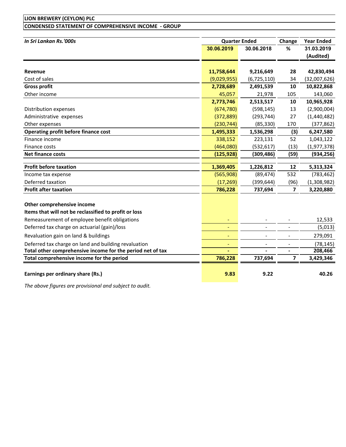# **LION BREWERY (CEYLON) PLC CONDENSED STATEMENT OF COMPREHENSIVE INCOME ‐ GROUP**

| In Sri Lankan Rs.'000s                                     |                | <b>Quarter Ended</b> | Change                  | <b>Year Ended</b> |
|------------------------------------------------------------|----------------|----------------------|-------------------------|-------------------|
|                                                            | 30.06.2019     | 30.06.2018           | %                       | 31.03.2019        |
|                                                            |                |                      |                         | (Audited)         |
|                                                            |                |                      |                         |                   |
| <b>Revenue</b>                                             | 11,758,644     | 9,216,649            | 28                      | 42,830,494        |
| Cost of sales                                              | (9,029,955)    | (6, 725, 110)        | 34                      | (32,007,626)      |
| <b>Gross profit</b>                                        | 2,728,689      | 2,491,539            | 10                      | 10,822,868        |
| Other income                                               | 45,057         | 21,978               | 105                     | 143,060           |
|                                                            | 2,773,746      | 2,513,517            | 10                      | 10,965,928        |
| Distribution expenses                                      | (674, 780)     | (598, 145)           | 13                      | (2,900,004)       |
| Administrative expenses                                    | (372, 889)     | (293, 744)           | 27                      | (1,440,482)       |
| Other expenses                                             | (230, 744)     | (85, 330)            | 170                     | (377, 862)        |
| <b>Operating profit before finance cost</b>                | 1,495,333      | 1,536,298            | (3)                     | 6,247,580         |
| Finance income                                             | 338,152        | 223,131              | 52                      | 1,043,122         |
| Finance costs                                              | (464,080)      | (532, 617)           | (13)                    | (1,977,378)       |
| <b>Net finance costs</b>                                   | (125, 928)     | (309, 486)           | (59)                    | (934, 256)        |
| <b>Profit before taxation</b>                              | 1,369,405      | 1,226,812            | 12                      | 5,313,324         |
| Income tax expense                                         | (565,908)      | (89, 474)            | 532                     | (783, 462)        |
| Deferred taxation                                          | (17, 269)      | (399, 644)           | (96)                    | (1,308,982)       |
| <b>Profit after taxation</b>                               | 786,228        | 737,694              | $\overline{\mathbf{z}}$ | 3,220,880         |
| Other comprehensive income                                 |                |                      |                         |                   |
| Items that will not be reclassified to profit or loss      |                |                      |                         |                   |
| Remeasurement of employee benefit obligations              |                |                      |                         | 12,533            |
| Deferred tax charge on actuarial (gain)/loss               | $\blacksquare$ |                      |                         | (5,013)           |
| Revaluation gain on land & buildings                       |                |                      |                         | 279,091           |
| Deferred tax charge on land and building revaluation       | $\blacksquare$ |                      | $\overline{a}$          | (78, 145)         |
| Total other comprehensive income for the period net of tax |                |                      |                         | 208,466           |
| Total comprehensive income for the period                  | 786,228        | 737,694              | $\overline{\mathbf{z}}$ | 3,429,346         |
| Earnings per ordinary share (Rs.)                          | 9.83           | 9.22                 |                         | 40.26             |

*The above figures are provisional and subject to audit.*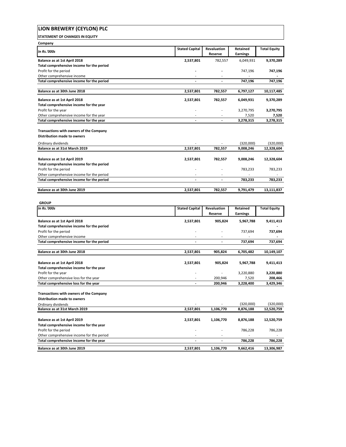| LION BREWERY (CEYLON) PLC                                                              |                          |                        |                             |                      |
|----------------------------------------------------------------------------------------|--------------------------|------------------------|-----------------------------|----------------------|
| <b>STATEMENT OF CHANGES IN EQUITY</b>                                                  |                          |                        |                             |                      |
| Company                                                                                |                          |                        |                             |                      |
| In Rs.'000s                                                                            | <b>Stated Capital</b>    | Revaluation<br>Reserve | Retained<br><b>Earnings</b> | <b>Total Equity</b>  |
| Balance as at 1st April 2018                                                           | 2,537,801                | 782,557                | 6,049,931                   | 9,370,289            |
| Total comprehensive income for the period<br>Profit for the period                     |                          |                        | 747,196                     | 747,196              |
| Other comprehensive income                                                             |                          |                        |                             |                      |
| Total comprehensive income for the period                                              | $\overline{a}$           | $\overline{a}$         | 747,196                     | 747,196              |
| Balance as at 30th June 2018                                                           | 2,537,801                | 782,557                | 6,797,127                   | 10,117,485           |
| Balance as at 1st April 2018                                                           | 2,537,801                | 782,557                | 6,049,931                   | 9,370,289            |
| Total comprehensive income for the year                                                |                          |                        |                             |                      |
| Profit for the year<br>Other comprehensive income for the year                         |                          |                        | 3,270,795<br>7,520          | 3,270,795<br>7,520   |
| Total comprehensive income for the year                                                |                          |                        | 3,278,315                   | 3,278,315            |
|                                                                                        |                          |                        |                             |                      |
| <b>Transactions with owners of the Company</b><br>Distribution made to owners          |                          |                        |                             |                      |
| Ordinary dividends                                                                     |                          |                        | (320,000)                   | (320,000)            |
| Balance as at 31st March 2019                                                          | 2.537.801                | 782,557                | 9,008,246                   | 12,328,604           |
| Balance as at 1st April 2019                                                           | 2,537,801                | 782,557                | 9,008,246                   | 12,328,604           |
| Total comprehensive income for the period                                              |                          |                        |                             |                      |
| Profit for the period                                                                  |                          |                        | 783,233                     | 783,233              |
| Other comprehensive income for the period<br>Total comprehensive income for the period | $\overline{\phantom{a}}$ | $\overline{a}$         | 783,233                     |                      |
|                                                                                        |                          |                        |                             | 783,233              |
| Balance as at 30th June 2019                                                           | 2,537,801                | 782,557                | 9,791,479                   | 13,111,837           |
|                                                                                        |                          |                        |                             |                      |
| <b>GROUP</b><br>In Rs.'000s                                                            | <b>Stated Capital</b>    | Revaluation            | Retained                    | <b>Total Equity</b>  |
|                                                                                        |                          | Reserve                | <b>Earnings</b>             |                      |
| Balance as at 1st April 2018                                                           | 2,537,801                | 905,824                | 5,967,788                   | 9,411,413            |
| Total comprehensive income for the period                                              |                          |                        |                             |                      |
| Profit for the period<br>Other comprehensive income                                    |                          |                        | 737,694                     | 737,694              |
| Total comprehensive income for the period                                              | $\overline{\phantom{a}}$ | $\blacksquare$         | 737,694                     | 737,694              |
|                                                                                        |                          |                        |                             |                      |
| Balance as at 30th June 2018                                                           | 2,537,801                | 905,824                | 6,705,482                   | 10,149,107           |
| Balance as at 1st April 2018                                                           | 2,537,801                | 905,824                | 5,967,788                   | 9,411,413            |
| Total comprehensive income for the year                                                |                          |                        |                             |                      |
| Profit for the year                                                                    |                          |                        | 3,220,880                   | 3,220,880            |
| Other comprehensive loss for the year<br>Total comprehensive loss for the year         |                          | 200,946<br>200,946     | 7,520<br>3,228,400          | 208,466<br>3,429,346 |
|                                                                                        |                          |                        |                             |                      |
| Transactions with owners of the Company                                                |                          |                        |                             |                      |
| <b>Distribution made to owners</b>                                                     |                          |                        | (320,000)                   | (320,000)            |
| Ordinary dividends<br>Balance as at 31st March 2019                                    | 2,537,801                | 1,106,770              | 8,876,188                   | 12,520,759           |
|                                                                                        |                          |                        |                             |                      |
| Balance as at 1st April 2019                                                           | 2,537,801                | 1,106,770              | 8,876,188                   | 12,520,759           |
| Total comprehensive income for the year<br>Profit for the period                       |                          |                        |                             |                      |
|                                                                                        |                          |                        |                             |                      |
| Other comprehensive income for the period                                              |                          |                        | 786,228                     | 786,228              |

**Balance as at 30th June 2019 2,537,801 2,537,801 1,106,770 9,662,416 13,306,987**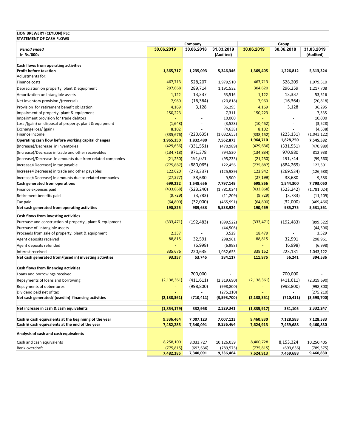| LION BREWERY (CEYLON) PLC<br><b>STATEMENT OF CASH FLOWS</b> |                |            |                         |               |            |                         |
|-------------------------------------------------------------|----------------|------------|-------------------------|---------------|------------|-------------------------|
|                                                             |                | Company    |                         |               | Group      |                         |
| <b>Period ended</b><br>In Rs.'000s                          | 30.06.2019     | 30.06.2018 | 31.03.2019<br>(Audited) | 30.06.2019    | 30.06.2018 | 31.03.2019<br>(Audited) |
| Cash flows from operating activities                        |                |            |                         |               |            |                         |
| <b>Profit before taxation</b>                               | 1,365,717      | 1,235,093  | 5,346,346               | 1,369,405     | 1,226,812  | 5,313,324               |
| Adjustments for:                                            |                |            |                         |               |            |                         |
| Finance costs                                               | 467,713        | 528,207    | 1,979,510               | 467,713       | 528,209    | 1,979,510               |
| Depreciation on property, plant & equipment                 | 297,668        | 289,714    | 1,191,532               | 304,620       | 296,259    | 1,217,708               |
| Amortization on Intangible assets                           | 1,122          | 13,337     | 53,516                  | 1,122         | 13,337     | 53,516                  |
| Net inventory provision /(reversal)                         | 7,960          | (16, 364)  | (20, 818)               | 7,960         | (16, 364)  | (20, 818)               |
| Provision for retirement benefit obligation                 | 4,169          | 3,128      | 36,295                  | 4,169         | 3,128      | 36,295                  |
| Impairment of property, plant & equipment                   | 150,223        |            | 7,311                   | 150,223       |            | 7,335                   |
| Impairment provision for trade debtors                      |                |            | 10,000                  | ä,            |            | 10,000                  |
| Loss /(gain) on disposal of property, plant & equipment     | (1,648)        | ٠          | (3,528)                 | (10, 452)     |            | (3,528)                 |
| Exchange loss/ (gain)                                       | 8,102          |            | (4,638)                 | 8,102         |            | (4,638)                 |
| Finance Income                                              | (335, 676)     | (220, 635) | (1,032,653)             | (338, 152)    | (223, 131) | (1,043,122)             |
| Operating cash flow before working capital changes          | 1,965,350      | 1,832,480  | 7,562,873               | 1,964,710     | 1,828,250  | 7,545,582               |
| (Increase)/Decrease in inventories                          | (429, 636)     | (331, 551) | (470, 989)              | (429, 636)    | (331, 551) | (470, 989)              |
| (Increase)/Decrease in trade and other receivables          | (134, 718)     | 971,378    | 794,530                 | (134, 834)    | 970,980    | 812,938                 |
| (Increase)/Decrease in amounts due from related companies   | (21, 230)      | 191,071    | (95, 233)               | (21, 230)     | 191,744    | (99, 560)               |
| Increase/(Decrease) in tax payable                          | (775, 887)     | (880,065)  | 122,456                 | (775, 887)    | (884, 269) | 122,391                 |
| Increase/(Decrease) in trade and other payables             | 122,620        | (273, 337) | (125, 989)              | 122,942       | (269, 534) | (126, 688)              |
| Increase/(Decrease) in amounts due to related companies     | (27, 277)      | 38,680     | 9,500                   | (27, 199)     | 38,680     | 9,386                   |
| Cash generated from operations                              | 699,222        | 1,548,656  | 7,797,149               | 698,866       | 1,544,300  | 7,793,060               |
| Finance expenses paid                                       | (433,868)      | (523, 240) | (1,781,024)             | (433, 868)    | (523, 242) | (1,781,024)             |
| Retirement benefits paid                                    | (9, 729)       | (3,783)    | (11,209)                | (9, 729)      | (3,783)    | (11, 209)               |
| Tax paid                                                    | (64, 800)      | (32,000)   | (465, 991)              | (64, 800)     | (32,000)   | (469, 466)              |
| Net cash generated from operating activities                | 190,825        | 989,633    | 5,538,924               | 190,469       | 985,275    | 5,531,361               |
| Cash flows from investing activities                        |                |            |                         |               |            |                         |
| Purchase and construction of property, plant & equipment    | (333, 471)     | (192, 483) | (899, 522)              | (333, 471)    | (192, 483) | (899, 522)              |
| Purchase of intangible assets                               |                |            | (44, 506)               |               |            | (44, 506)               |
| Proceeds from sale of property, plant & equipment           | 2,337          |            | 3,529                   | 18,479        |            | 3,529                   |
| Agent deposits received                                     | 88,815         | 32,591     | 298,961                 | 88,815        | 32,591     | 298,961                 |
| Agent deposits refunded                                     | ä,             | (6,998)    | (6,998)                 | $\Box$        | (6,998)    | (6,998)                 |
| Interest received                                           | 335,676        | 220,635    | 1,032,653               | 338,152       | 223,131    | 1,043,122               |
| Net cash generated from/(used in) investing activities      | 93,357         | 53,745     | 384,117                 | 111,975       | 56,241     | 394,586                 |
|                                                             |                |            |                         |               |            |                         |
| <b>Cash flows from financing activities</b>                 |                |            |                         |               |            |                         |
| Loans and borrowings received                               |                | 700,000    |                         |               | 700.000    |                         |
| Repayments of loans and borrowing                           | (2, 138, 361)  | (411, 611) | (2,319,690)             | (2, 138, 361) | (411, 611) | (2,319,690)             |
| Repayments of debentures                                    | $\blacksquare$ | (998, 800) | (998, 800)              |               | (998, 800) | (998, 800)              |
| Dividend paid net of tax                                    |                |            | (275, 210)              |               |            | (275, 210)              |
| Net cash generated/ (used in) financing activities          | (2, 138, 361)  | (710, 411) | (3,593,700)             | (2, 138, 361) | (710, 411) | (3,593,700)             |
|                                                             |                |            |                         |               |            |                         |
| Net increase in cash & cash equivalents                     | (1,854,179)    | 332,968    | 2,329,341               | (1,835,917)   | 331,105    | 2,332,247               |
| Cash & cash equivalents at the beginning of the year        | 9,336,464      | 7,007,123  | 7,007,123               | 9,460,830     | 7,128,583  | 7,128,583               |
| Cash & cash equivalents at the end of the year              | 7,482,285      | 7,340,091  | 9,336,464               | 7,624,913     | 7,459,688  | 9,460,830               |
| Analysis of cash and cash equivalents                       |                |            |                         |               |            |                         |
| Cash and cash equivalents                                   | 8,258,100      | 8,033,727  | 10,126,039              | 8,400,728     | 8,153,324  | 10,250,405              |
| Bank overdraft                                              | (775, 815)     | (693, 636) | (789, 575)              | (775, 815)    | (693, 636) | (789, 575)              |
|                                                             | 7,482,285      | 7,340,091  | 9,336,464               | 7,624,913     | 7,459,688  | 9,460,830               |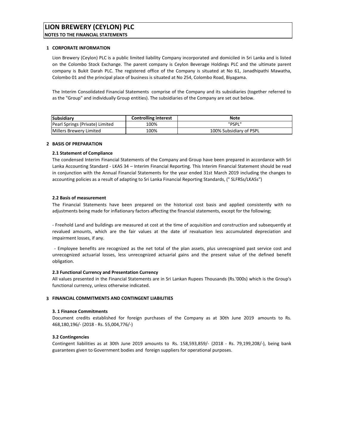# **LION BREWERY (CEYLON) PLC**

**NOTES TO THE FINANCIAL STATEMENTS**

#### **1 CORPORATE INFORMATION**

Lion Brewery (Ceylon) PLC is a public limited liability Company incorporated and domiciled in Sri Lanka and is listed on the Colombo Stock Exchange. The parent company is Ceylon Beverage Holdings PLC and the ultimate parent company is Bukit Darah PLC. The registered office of the Company is situated at No 61, Janadhipathi Mawatha, Colombo 01 and the principal place of business is situated at No 254, Colombo Road, Biyagama.

The Interim Consolidated Financial Statements comprise of the Company and its subsidiaries (together referred to as the "Group" and individually Group entities). The subsidiaries of the Company are set out below.

| Subsidiary                      | <b>Controlling interest</b> | <b>Note</b>             |
|---------------------------------|-----------------------------|-------------------------|
| Pearl Springs (Private) Limited | 100%                        | "PSPL"                  |
| Millers Brewery Limited         | 100%                        | 100% Subsidiary of PSPL |

#### **2 BASIS OF PREPARATION**

### **2.1 Statement of Compliance**

The condensed Interim Financial Statements of the Company and Group have been prepared in accordance with Sri Lanka Accounting Standard ‐ LKAS 34 – Interim Financial Reporting. This Interim Financial Statement should be read in conjunction with the Annual Financial Statements for the year ended 31st March 2019 including the changes to accounting policies as a result of adapting to Sri Lanka Financial Reporting Standards, (" SLFRSs/LKASs")

### **2.2 Basis of measurement**

The Financial Statements have been prepared on the historical cost basis and applied consistently with no adjustments being made for inflationary factors affecting the financial statements, except for the following;

‐ Freehold Land and buildings are measured at cost at the time of acquisition and construction and subsequently at revalued amounts, which are the fair values at the date of revaluation less accumulated depreciation and impairment losses, if any.

‐ Employee benefits are recognized as the net total of the plan assets, plus unrecognized past service cost and unrecognized actuarial losses, less unrecognized actuarial gains and the present value of the defined benefit obligation.

#### **2.3 Functional Currency and Presentation Currency**

All values presented in the Financial Statements are in Sri Lankan Rupees Thousands (Rs.'000s) which is the Group's functional currency, unless otherwise indicated.

#### **3 FINANCIAL COMMITMENTS AND CONTINGENT LIABILITIES**

#### **3. 1 Finance Commitments**

Document credits established for foreign purchases of the Company as at 30th June 2019 amounts to Rs. 468,180,196/‐ (2018 ‐ Rs. 55,004,776/‐)

#### **3.2 Contingencies**

Contingent liabilities as at 30th June 2019 amounts to Rs. 158,593,859/‐ (2018 ‐ Rs. 79,199,208/‐), being bank guarantees given to Government bodies and foreign suppliers for operational purposes.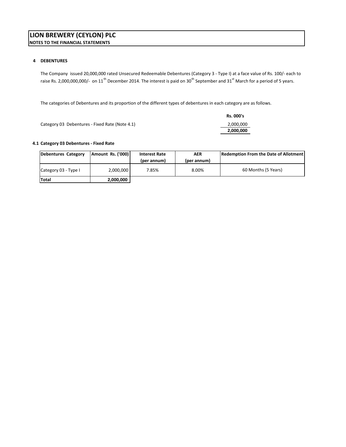### **4 DEBENTURES**

The Company issued 20,000,000 rated Unsecured Redeemable Debentures (Category 3 ‐ Type I) at a face value of Rs. 100/‐ each to raise Rs. 2,000,000,000/- on 11<sup>th</sup> December 2014. The interest is paid on 30<sup>th</sup> September and 31<sup>st</sup> March for a period of 5 years.

The categories of Debentures and its proportion of the different types of debentures in each category are as follows.

|                                                | Rs. 000's |
|------------------------------------------------|-----------|
| Category 03 Debentures - Fixed Rate (Note 4.1) | 2,000,000 |
|                                                | 2,000,000 |

### **4.1 Category 03 Debentures ‐ Fixed Rate**

| Debentures Category  | Amount Rs. ('000) | <b>Interest Rate</b> | <b>AER</b>  | Redemption From the Date of Allotment |
|----------------------|-------------------|----------------------|-------------|---------------------------------------|
|                      |                   | (per annum)          | (per annum) |                                       |
| Category 03 - Type I | 2.000.000         | 7.85%                | 8.00%       | 60 Months (5 Years)                   |
| Total                | 2,000,000         |                      |             |                                       |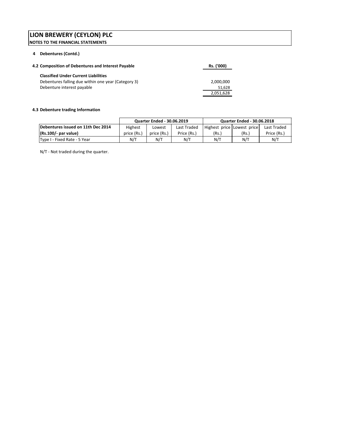#### **4 Debentures (Contd.)**

| 4.2 Composition of Debentures and Interest Payable  | Rs. ('000) |
|-----------------------------------------------------|------------|
| <b>Classified Under Current Liabilities</b>         |            |
| Debentures falling due within one year (Category 3) | 2,000,000  |
| Debenture interest payable                          | 51,628     |
|                                                     | 2,051,628  |

### **4.3 Debenture trading Information**

|                                    | <b>Quarter Ended - 30.06.2019</b><br><b>Quarter Ended - 30.06.2018</b> |             |             |                            |       |             |
|------------------------------------|------------------------------------------------------------------------|-------------|-------------|----------------------------|-------|-------------|
| Debentures issued on 11th Dec 2014 | Highest                                                                | Lowest      | Last Traded | Highest price Lowest price |       | Last Traded |
| $(Rs.100/-$ par value)             | price (Rs.)                                                            | price (Rs.) | Price (Rs.) | (Rs.)                      | (Rs.) | Price (Rs.) |
| Type I - Fixed Rate - 5 Year       | N/T                                                                    | N/T         | N/T         | N/T                        | N/T   | N/T         |

N/T ‐ Not traded during the quarter.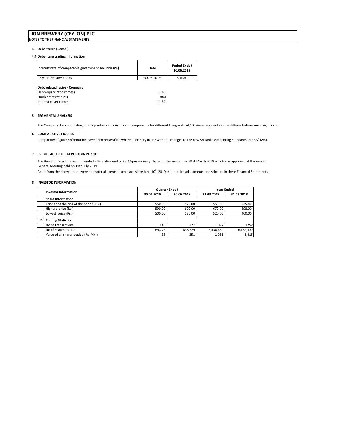#### **4 Debentures (Contd.)**

#### **4.4 Debenture trading Information**

| Interest rate of comparable government securities(%) | Date       | <b>Period Ended</b><br>30.06.2019 |
|------------------------------------------------------|------------|-----------------------------------|
| 05 year treasury bonds                               | 30.06.2019 | 9.83%                             |
| Debt related ratios - Company                        |            |                                   |
| Debt/equity ratio (times)                            | 0.16       |                                   |
| Quick asset ratio (%)                                | 88%        |                                   |
| Interest cover (times)                               | 11.64      |                                   |

#### **5 SEGMENTAL ANALYSIS**

The Company does not distinguish its products into significant components for different Geographical / Business segments as the differentiations are insignificant.

#### **6 COMPARATIVE FIGURES**

Comparative figures/information have been reclassified where necessary in line with the changes to the new Sri Lanka Accounting Standards (SLFRS/LKAS).

#### **7 EVENTS AFTER THE REPORTING PERIOD**

The Board of Directors recommended a Final dividend of Rs. 6/‐per ordinary share for the year ended 31st March 2019 which was approved at the Annual General Meeting held on 19th July 2019.

Apart from the above, there were no material events taken place since June  $3d<sup>h</sup>$ , 2019 that require adjustments or disclosure in these Financial Statements.

#### **8 INVESTOR INFORMATION**

| <b>Investor Information</b>             | <b>Quarter Ended</b> |            | <b>Year Ended</b> |            |  |
|-----------------------------------------|----------------------|------------|-------------------|------------|--|
|                                         | 30.06.2019           | 30.06.2018 | 31.03.2019        | 31.03.2018 |  |
| <b>Share Information</b>                |                      |            |                   |            |  |
| Price as at the end of the period (Rs.) | 550.00               | 570.00     | 555.00            | 525.40     |  |
| Highest price (Rs.)                     | 590.00               | 600.00     | 679.00            | 598.00     |  |
| Lowest price (Rs.)                      | 500.00               | 520.00     | 520.00            | 400.00     |  |
| <b>Trading Statistics</b>               |                      |            |                   |            |  |
| No of Transactions                      | 146                  | 277        | 1.027             | 1252       |  |
| No of Shares traded                     | 69,223               | 638,329    | 3,430,480         | 6,682,337  |  |
| Value of all shares traded (Rs. Mn.)    | 38                   | 351        | 1,981             | 3,415      |  |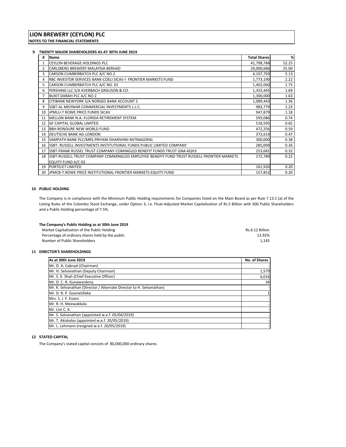#### **9 TWENTY MAJOR SHAREHOLDERS AS AT 30TH JUNE 2019**

| #  | Name                                                                                           | <b>Total Shares</b> | %     |
|----|------------------------------------------------------------------------------------------------|---------------------|-------|
|    | <b>CEYLON BEVERAGE HOLDINGS PLC</b>                                                            | 41,798,788          | 52.25 |
| 2  | CARLSBERG BREWERY MALAYSIA BERHAD                                                              | 20,000,686          | 25.00 |
| 3  | CARSON CUMBERBATCH PLC A/C NO.2                                                                | 4,107,793           | 5.13  |
| 4  | RBC INVESTOR SERVICES BANK-COELI SICAV I- FRONTIER MARKETS FUND                                | 1,773,190           | 2.22  |
| 5. | CARSON CUMBERBATCH PLC A/C NO. 01                                                              | 1,402,060           | 1.75  |
| 6  | PERSHING LLC S/A AVERBACH GRAUSON & CO.                                                        | 1,353,445           | 1.69  |
|    | BUKIT DARAH PLC A/C NO 2                                                                       | 1,300,000           | 1.63  |
| 8  | CITIBANK NEWYORK S/A NORGES BANK ACCOUNT 2                                                     | 1,089,443           | 1.36  |
| 9  | SSBT-AL MEHWAR COMMERCIAL INVESTMENTS L.L.C.                                                   | 983,779             | 1.23  |
|    | 10 JPMLU-T ROWE PRICE FUNDS SICAV                                                              | 947,879             | 1.18  |
| 11 | MELLON BANK N.A.-FLORIDA RETIREMENT SYSTEM                                                     | 593,086             | 0.74  |
| 12 | <b>GF CAPITAL GLOBAL LIMITED</b>                                                               | 518,595             | 0.65  |
| 13 | <b>BBH-RONDURE NEW WORLD FUND</b>                                                              | 472,256             | 0.59  |
| 14 | <b>DEUTSCHE BANK AG-LONDON</b>                                                                 | 372,614             | 0.47  |
|    | 15 SAMPATH BANK PLC/MRS.PRIYANI DHARSHINI RATNAGOPAL                                           | 300,000             | 0.38  |
|    | 16 ISSBT- RUSSELL INVESTMENTS INSTITUTIONAL FUNDS PUBLIC LIMITED COMPANY                       | 285,009             | 0.36  |
| 17 | <b>ISSBT-FRANK RUSSEL TRUST COMPANY COMINGLED BENEFIT FUNDS TRUST GNA-6QH3</b>                 | 253,681             | 0.32  |
|    | 18 ISSBT-RUSSELL TRUST COMPANY COMMINGLED EMPLOYEE BENEFIT FUND TRUST RUSSELL FRONTIER MARKETS | 172,789             | 0.22  |
|    | EQUITY FUND A/C 03                                                                             |                     |       |
|    | 19 PORTELET LIMITED                                                                            | 161,920             | 0.20  |
|    | 20 JPMCB-T.ROWE PRICE INSTITUTIONAL FRONTIER MARKETS EQUITY FUND                               | 157,852             | 0.20  |

#### **10 PUBLIC HOLDING**

The Company is in compliance with the Minimum Public Holding requirements for Companies listed on the Main Board as per Rule 7.13.1 (a) of the Listing Rules of the Colombo Stock Exchange, under Option 3, i.e. Float‐Adjusted Market Capitalization of Rs.5 Billion with 500 Public Shareholders and a Public Holding percentage of 7.5%.

| The Company's Public Holding as at 30th June 2019 |                 |  |
|---------------------------------------------------|-----------------|--|
| Market Capitalization of the Public Holding       | Rs.6.12 Billion |  |
| Percentage of ordinary shares held by the public  | 13.92%          |  |
| Number of Public Shareholders                     | 1.145           |  |

#### **11 DIRECTOR'S SHAREHOLDINGS**

| As at 30th June 2019                                                 |       |
|----------------------------------------------------------------------|-------|
| Mr. D. A. Cabraal (Chairman)                                         |       |
| Mr. H. Selvanathan (Deputy Chairman)                                 | 1,579 |
| Mr. S. K. Shah (Chief Executive Officer)                             | 6,016 |
| Mr. D. C. R. Gunawardena                                             | 34    |
| Mr. K. Selvanathan (Director / Alternate Director to H. Selvanathan) |       |
| Mr. D. R. P. Goonetilleke                                            |       |
| Mrs. S. J. F. Evans                                                  |       |
| Mr. R. H. Meewakkala                                                 |       |
| Mr. Lim C. K.                                                        |       |
| Mr. S. Selvanathan (appointed w.e.f. 05/04/2019)                     |       |
| Mr. T. Akiskalos (appointed w.e.f. 20/05/2019)                       |       |
| Mr. L. Lehmann (resigned w.e.f. 20/05/2019)                          |       |

#### **12 STATED CAPITAL**

The Company's stated capital consists of 80,000,000 ordinary shares.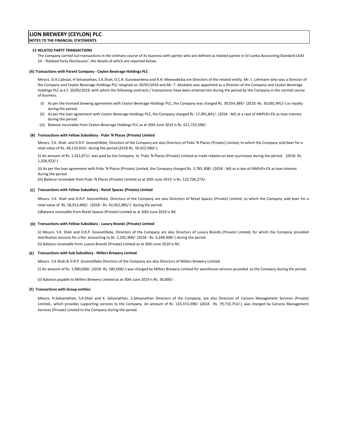#### **13 RELATED PARTY TRANSACTIONS**

The Company carried out transactions in the ordinary course of its business with parties who are defined as related parties in Sri Lanka Accounting Standard LKAS 24 ‐ 'Related Party Disclosures', the details of which are reported below.

#### **(A) Transactions with Parent Company ‐ Ceylon Beverage Holdings PLC**

Messrs. D.A.Cabraal, H Selvanathan, S.K.Shah, D.C.R. Gunawardena and R.H. Meewakkala are Directors of the related entity. Mr. L. Lehmann who was a Director of the Company and Ceylon Beverage Holdings PLC resigned on 20/05/2019 and Mr. T. Akiskalos was appointed as a Director of the Company and Ceylon Beverage Holdings PLC w.e.f. 20/05/2019, with which the following contracts / transactions have been entered into during the period by the Company in the normal course of business.

- (i) As per the licensed brewing agreement with Ceylon Beverage Holdings PLC, the Company was charged Rs. 39,054,389/‐ (2018 ‐Rs. 30,692,491/‐) as royalty during the period.
- (ii) As per the loan agreement with Ceylon Beverage Holdings PLC, the Company charged Rs. 17,991,841/‐ (2018 ‐ Nil) at a rate of AWPLR+1% as loan interest during the period.
- (iii) Balance receivable from Ceylon Beverage Holdings PLC as at 30th June 2019 is Rs. 611,725,598/‐

#### **(B) Transactions with Fellow Subsidiary ‐ Pubs 'N Places (Private) Limited**

Messrs. S.K. Shah and D.R.P. Goonetilleke, Directors of the Company are also Directors of Pubs 'N Places (Private) Limited, to which the Company sold beer for a total value of Rs. 48,110,543/‐ during the period (2018‐Rs. 39,422,580/‐).

(i) An amount of Rs. 1,421,871/‐ was paid by the Company to Pubs 'N Places (Private) Limited as trade rebates on beer purchases during the period. (2018‐ Rs. 1,326,923/‐)

(ii) As per the loan agreement with Pubs 'N Places (Private) Limited, the Company charged Rs. 3,785,308/‐ (2018 ‐ Nil) at a rate of AWPLR+1% as loan interest during the period.

(iii) Balance receivable from Pubs 'N Places (Private) Limited as at 30th June 2019 is Rs. 122,734,273/‐

#### **(C) Transactions with Fellow Subsidiary ‐ Retail Spaces (Private) Limited**

Messrs. S.K. Shah and D.R.P. Goonetilleke, Directors of the Company are also Directors of Retail Spaces (Private) Limited, to which the Company sold beer for a total value of Rs. 58,913,460/‐ (2018 ‐ Rs. 42,452,085/‐) during the period.

(i)Balance receivable from Retail Spaces (Private) Limited as at 30th June 2019 is Nil.

#### **(D) Transactions with Fellow Subsidiary ‐ Luxury Brands (Private) Limited**

(i) Messrs. S.K. Shah and D.R.P. Goonetilleke, Directors of the Company are also Directors of Luxury Brands (Private) Limited, for which the Company provided distribution services for a fee amounting to Rs. 2,242,368/‐ (2018 ‐ Rs. 3,248,308/‐) during the period.

(ii) Balance receivable from Luxury Brands (Private) Limited as at 30th June 2019 is Nil.

#### **(E) Transactions with Sub Subsidiary ‐ Millers Brewery Limited**

Messrs. S.K Shah & D.R.P. Goonetilleke Directors of the Company are also Directors of Millers Brewery Limited.

(i) An amount of Rs. 1,980,000/‐ (2018 ‐Rs. 585,000/‐) was charged by Millers Brewery Limited for warehouse services provided to the Company during the period.

(ii) Balance payable to Millers Brewery Limited as at 30th June 2019 is Rs. 36,000/‐.

#### **(F) Transactions with Group entities**

Messrs. H.Selvanathan, S.K.Shah and K. Selvanathan, S.Selvanathan Directors of the Company, are also Directors of Carsons Management Services (Private) Limited., which provides supporting services to the Company. An amount of Rs. 124,373,398/- (2018 - Rs. 79,710,753/-) was charged by Carsons Management Services (Private) Limited to the Company during the period.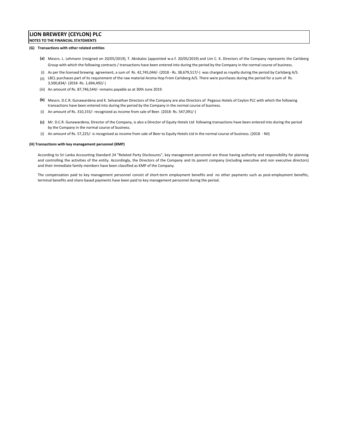#### **(G) Transactions with other related entities**

- **(a)** Messrs. L. Lehmann (resigned on 20/05/2019), T. Akiskalos (appointed w.e.f. 20/05/2019) and Lim C. K. Directors of the Company represents the Carlsberg Group with which the following contracts / transactions have been entered into during the period by the Company in the normal course of business.
- (i) As per the licensed brewing agreement, a sum of Rs. 42,745,044/‐ (2018 ‐ Rs. 38,679,517/‐) was charged as royalty during the period by Carlsberg A/S.
- (ii) LBCL purchases part of its requirement of the raw material Aroma Hop From Carlsberg A/S. There were purchases during the period for a sum of Rs. 3,500,834/‐ (2018 ‐Rs. 1,694,492/‐)
- (iii) An amount of Rs. 87,746,544/‐ remains payable as at 30th June 2019.
- **(b)** Messrs. D.C.R. Gunawardena and K. Selvanathan Directors of the Company are also Directors of Pegasus Hotels of Ceylon PLC with which the following transactions have been entered into during the period by the Company in the normal course of business.
- (i) An amount of Rs. 310,155/‐ recognized as income from sale of Beer. (2018‐ Rs. 547,091/‐)
- **(c)** Mr. D.C.R. Gunawardena, Director of the Company, is also a Director of Equity Hotels Ltd following transactions have been entered into during the period by the Company in the normal course of business.
- (i) An amount of Rs. 57,225/‐ is recognised as income from sale of Beer to Equity Hotels Ltd in the normal course of business. (2018 ‐ Nil)

#### **(H) Transactions with key management personnel (KMP)**

According to Sri Lanka Accounting Standard 24 "Related Party Disclosures", key management personnel are those having authority and responsibility for planning and controlling the activities of the entity. Accordingly, the Directors of the Company and its parent company (including executive and non executive directors) and their immediate family members have been classified as KMP of the Company.

The compensation paid to key management personnel consist of short-term employment benefits and no other payments such as post-employment benefits, terminal benefits and share based payments have been paid to key management personnel during the period.